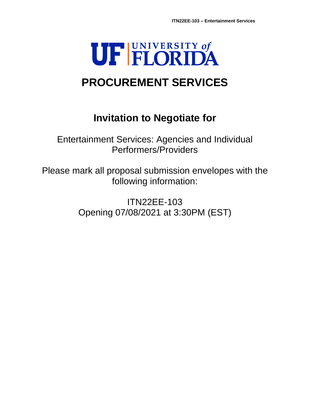# UF FLORIDA

# **PROCUREMENT SERVICES**

# **Invitation to Negotiate for**

Entertainment Services: Agencies and Individual Performers/Providers

Please mark all proposal submission envelopes with the following information:

> ITN22EE-103 Opening 07/08/2021 at 3:30PM (EST)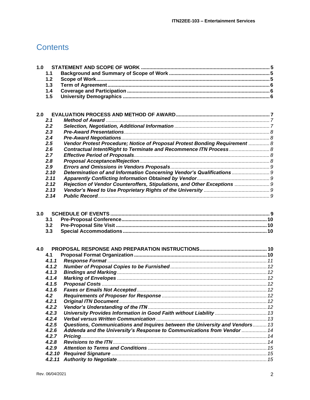# **Contents**

| 1.0 |                   |                                                                              |  |
|-----|-------------------|------------------------------------------------------------------------------|--|
|     | 1.1               |                                                                              |  |
|     | 1.2               |                                                                              |  |
|     | 1.3               |                                                                              |  |
|     | 1.4               |                                                                              |  |
|     | 1.5               |                                                                              |  |
|     |                   |                                                                              |  |
|     |                   |                                                                              |  |
| 2.0 |                   |                                                                              |  |
|     | 2.1               |                                                                              |  |
|     | 2.2               |                                                                              |  |
|     | 2.3               |                                                                              |  |
|     | 2.4               |                                                                              |  |
|     | 2.5               | Vendor Protest Procedure; Notice of Proposal Protest Bonding Requirement  8  |  |
|     | 2.6               | Contractual Intent/Right to Terminate and Recommence ITN Process 8           |  |
|     | 2.7               |                                                                              |  |
|     | 2.8               |                                                                              |  |
|     | 2.9               |                                                                              |  |
|     | 2.10              | Determination of and Information Concerning Vendor's Qualifications  9       |  |
|     | 2.11              |                                                                              |  |
|     | 2.12              | Rejection of Vendor Counteroffers, Stipulations, and Other Exceptions  9     |  |
|     | 2.13              |                                                                              |  |
|     | 2.14              |                                                                              |  |
|     | 3.1<br>3.2<br>3.3 |                                                                              |  |
| 4.0 |                   |                                                                              |  |
|     | 4.1               |                                                                              |  |
|     | 4.1.1             |                                                                              |  |
|     | 4.1.2             |                                                                              |  |
|     | 4.1.3             |                                                                              |  |
|     | 4.1.4             |                                                                              |  |
|     | 4.1.5             |                                                                              |  |
|     | 4.1.6             |                                                                              |  |
|     | 4.2               |                                                                              |  |
|     | 4.2.1             |                                                                              |  |
|     | 4.2.2             |                                                                              |  |
|     | 4.2.3             |                                                                              |  |
|     | 4.2.4             |                                                                              |  |
|     | 4.2.5             | Questions, Communications and Inquires between the University and Vendors 13 |  |
|     | 4.2.6             | Addenda and the University's Response to Communications from Vendor  14      |  |
|     | 4.2.7             |                                                                              |  |
|     | 4.2.8             |                                                                              |  |
|     | 4.2.9             |                                                                              |  |
|     | 4.2.10            |                                                                              |  |
|     | 4.2.11            |                                                                              |  |
|     |                   |                                                                              |  |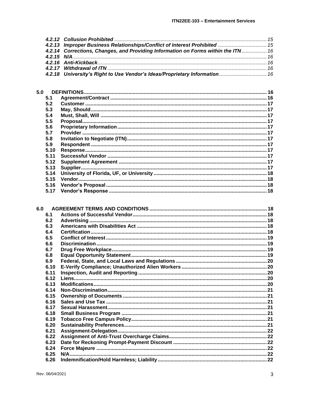| 4.2.13 Improper Business Relationships/Conflict of Interest Prohibited  15        |  |
|-----------------------------------------------------------------------------------|--|
| 4.2.14 Corrections, Changes, and Providing Information on Forms within the ITN 16 |  |
|                                                                                   |  |
|                                                                                   |  |
|                                                                                   |  |
| 4.2.18 University's Right to Use Vendor's Ideas/Proprietary Information  16       |  |
|                                                                                   |  |

| 5.0  |  |
|------|--|
| 5.1  |  |
| 5.2  |  |
| 5.3  |  |
| 5.4  |  |
| 5.5  |  |
| 5.6  |  |
| 5.7  |  |
| 5.8  |  |
| 5.9  |  |
| 5.10 |  |
| 5.11 |  |
| 5.12 |  |
| 5.13 |  |
| 5.14 |  |
| 5.15 |  |
| 5.16 |  |
| 5.17 |  |
|      |  |

| 6.1  |     |  |
|------|-----|--|
| 6.2  |     |  |
| 6.3  |     |  |
| 6.4  |     |  |
| 6.5  |     |  |
| 6.6  |     |  |
| 6.7  |     |  |
| 6.8  |     |  |
| 6.9  |     |  |
| 6.10 |     |  |
| 6.11 |     |  |
| 6.12 |     |  |
| 6.13 |     |  |
| 6.14 |     |  |
| 6.15 |     |  |
| 6.16 |     |  |
| 6.17 |     |  |
| 6.18 |     |  |
| 6.19 |     |  |
| 6.20 |     |  |
| 6.21 |     |  |
| 6.22 |     |  |
| 6.23 |     |  |
| 6.24 |     |  |
| 6.25 |     |  |
| 6.26 |     |  |
|      | 6.0 |  |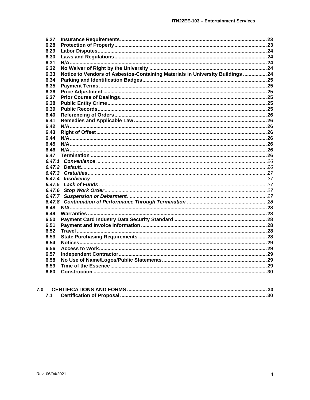| 6.27                                                                                   |  |
|----------------------------------------------------------------------------------------|--|
| 6.28                                                                                   |  |
| 6.29                                                                                   |  |
| 6.30                                                                                   |  |
| 6.31                                                                                   |  |
| 6.32                                                                                   |  |
| Notice to Vendors of Asbestos-Containing Materials in University Buildings  24<br>6.33 |  |
| 6.34                                                                                   |  |
| 6.35                                                                                   |  |
| 6.36                                                                                   |  |
| 6.37                                                                                   |  |
| 6.38                                                                                   |  |
| 6.39                                                                                   |  |
| 6.40                                                                                   |  |
| 6.41                                                                                   |  |
| 6.42                                                                                   |  |
| 6.43                                                                                   |  |
| 6.44                                                                                   |  |
| 6.45                                                                                   |  |
| 6.46                                                                                   |  |
| 6.47                                                                                   |  |
|                                                                                        |  |
|                                                                                        |  |
|                                                                                        |  |
|                                                                                        |  |
|                                                                                        |  |
|                                                                                        |  |
|                                                                                        |  |
|                                                                                        |  |
| 6.48                                                                                   |  |
| 6.49                                                                                   |  |
| 6.50                                                                                   |  |
| 6.51                                                                                   |  |
| 6.52                                                                                   |  |
| 6.53                                                                                   |  |
| 6.54                                                                                   |  |
| 6.56                                                                                   |  |
| 6.57                                                                                   |  |
| 6.58                                                                                   |  |
| 6.59                                                                                   |  |
| 6.60                                                                                   |  |
|                                                                                        |  |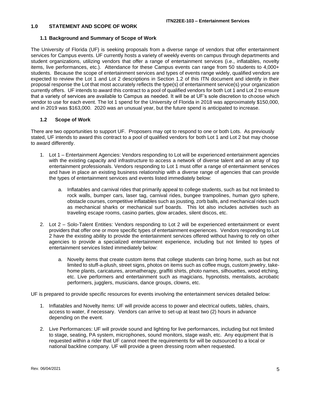#### <span id="page-4-0"></span>**1.0 STATEMENT AND SCOPE OF WORK**

#### <span id="page-4-1"></span>**1.1 Background and Summary of Scope of Work**

The University of Florida (UF) is seeking proposals from a diverse range of vendors that offer entertainment services for Campus events. UF currently hosts a variety of weekly events on campus through departments and student organizations, utilizing vendors that offer a range of entertainment services (i.e., inflatables, novelty items, live performances, etc.). Attendance for these Campus events can range from 50 students to 4,000+ students. Because the scope of entertainment services and types of events range widely, qualified vendors are expected to review the Lot 1 and Lot 2 descriptions in Section 1.2 of this ITN document and identify in their proposal response the Lot that most accurately reflects the type(s) of entertainment service(s) your organization currently offers. UF intends to award this contract to a pool of qualified vendors for both Lot 1 and Lot 2 to ensure that a variety of services are available to Campus as needed. It will be at UF's sole discretion to choose which vendor to use for each event. The lot 1 spend for the University of Florida in 2018 was approximately \$150,000, and in 2019 was \$163,000. 2020 was an unusual year, but the future spend is anticipated to increase.

#### <span id="page-4-2"></span>**1.2 Scope of Work**

There are two opportunities to support UF. Proposers may opt to respond to one or both Lots. As previously stated, UF intends to award this contract to a pool of qualified vendors for both Lot 1 and Lot 2 but may choose to award differently.

- 1. Lot 1 Entertainment Agencies: Vendors responding to Lot will be experienced entertainment agencies with the existing capacity and infrastructure to access a network of diverse talent and an array of top entertainment professionals. Vendors responding to Lot 1 must offer a range of entertainment services and have in place an existing business relationship with a diverse range of agencies that can provide the types of entertainment services and events listed immediately below:
	- a. Inflatables and carnival rides that primarily appeal to college students, such as but not limited to rock walls, bumper cars, laser tag, carnival rides, bungee trampolines, human gyro sphere, obstacle courses, competitive inflatables such as jousting, zorb balls, and mechanical rides such as mechanical sharks or mechanical surf boards. This lot also includes activities such as traveling escape rooms, casino parties, glow arcades, silent discos, etc.
- 2. Lot 2 Solo-Talent Entities: Vendors responding to Lot 2 will be experienced entertainment or event providers that offer one or more specific types of entertainment experiences. Vendors responding to Lot 2 have the existing ability to provide the entertainment services offered without having to rely on other agencies to provide a specialized entertainment experience, including but not limited to types of entertainment services listed immediately below:
	- a. Novelty items that create custom items that college students can bring home, such as but not limited to stuff-a-plush, street signs, photos on items such as coffee mugs, custom jewelry, takehome plants, caricatures, aromatherapy, graffiti shirts, photo names, silhouettes, wood etching, etc. Live performers and entertainment such as magicians, hypnotists, mentalists, acrobatic performers, jugglers, musicians, dance groups, clowns, etc.

UF is prepared to provide specific resources for events involving the entertainment services detailed below:

- 1. Inflatables and Novelty Items: UF will provide access to power and electrical outlets, tables, chairs, access to water, if necessary. Vendors can arrive to set-up at least two (2) hours in advance depending on the event.
- 2. Live Performances: UF will provide sound and lighting for live performances, including but not limited to stage, seating, PA system, microphones, sound monitors, stage wash, etc. Any equipment that is requested within a rider that UF cannot meet the requirements for will be outsourced to a local or national backline company. UF will provide a green dressing room when requested.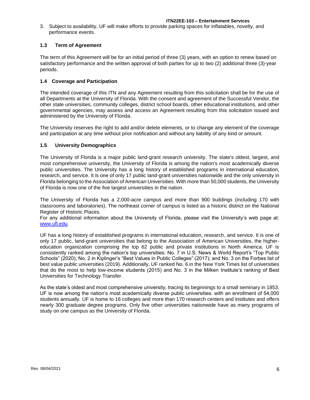3. Subject to availability, UF will make efforts to provide parking spaces for inflatables, novelty, and performance events.

# <span id="page-5-0"></span>**1.3 Term of Agreement**

The term of this Agreement will be for an initial period of three (3) years, with an option to renew based on satisfactory performance and the written approval of both parties for up to two (2) additional three (3)-year periods.

#### <span id="page-5-1"></span>**1.4 Coverage and Participation**

The intended coverage of this ITN and any Agreement resulting from this solicitation shall be for the use of all Departments at the University of Florida. With the consent and agreement of the Successful Vendor, the other state universities, community colleges, district school boards, other educational institutions, and other governmental agencies, may assess and access an Agreement resulting from this solicitation issued and administered by the University of Florida.

The University reserves the right to add and/or delete elements, or to change any element of the coverage and participation at any time without prior notification and without any liability of any kind or amount.

#### <span id="page-5-2"></span>**1.5 University Demographics**

The University of Florida is a major public land-grant research university. The state's oldest, largest, and most comprehensive university, the University of Florida is among the nation's most academically diverse public universities. The University has a long history of established programs in international education, research, and service. It is one of only 17 public land-grant universities nationwide and the only university in Florida belonging to the Association of American Universities. With more than 50,000 students, the University of Florida is now one of the five largest universities in the nation.

The University of Florida has a 2,000-acre campus and more than 900 buildings (including 170 with classrooms and laboratories). The northeast corner of campus is listed as a historic district on the National Register of Historic Places.

For any additional information about the University of Florida, please visit the University's web page at: [www.ufl.edu.](http://www.ufl.edu/)

UF has a long history of established programs in international education, research, and service. It is one of only 17 public, land-grant universities that belong to the Association of American Universities, the highereducation organization comprising the top 62 public and private institutions in North America. UF is consistently ranked among the nation's top universities: No. 7 in U.S. News & World Report's "Top Public Schools" (2020); No. 2 in Kiplinger's "Best Values in Public Colleges" (2017); and No. 3 on the Forbes list of best value public universities (2019). Additionally, UF ranked No. 6 in the New York Times list of universities that do the most to help low-income students (2015) and No. 3 in the Milken Institute's ranking of Best Universities for Technology Transfer.

As the state's oldest and most comprehensive university, tracing its beginnings to a small seminary in 1853, UF is now among the nation's most academically diverse public universities. with an enrollment of 54,000 students annually. UF is home to 16 colleges and more than 170 research centers and institutes and offers nearly 300 graduate degree programs. Only five other universities nationwide have as many programs of study on one campus as the University of Florida.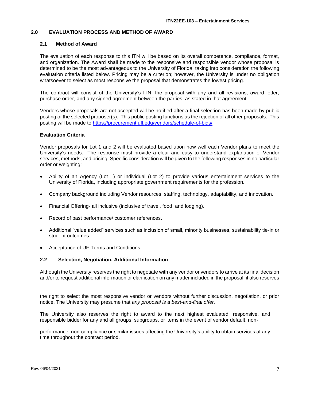#### <span id="page-6-0"></span>**2.0 EVALUATION PROCESS AND METHOD OF AWARD**

#### <span id="page-6-1"></span>**2.1 Method of Award**

The evaluation of each response to this ITN will be based on its overall competence, compliance, format, and organization. The Award shall be made to the responsive and responsible vendor whose proposal is determined to be the most advantageous to the University of Florida, taking into consideration the following evaluation criteria listed below. Pricing may be a criterion; however, the University is under no obligation whatsoever to select as most responsive the proposal that demonstrates the lowest pricing.

The contract will consist of the University's ITN, the proposal with any and all revisions, award letter, purchase order, and any signed agreement between the parties, as stated in that agreement.

Vendors whose proposals are not accepted will be notified after a final selection has been made by public posting of the selected proposer(s). This public posting functions as the rejection of all other proposals. This posting will be made to <https://procurement.ufl.edu/vendors/schedule-of-bids/>

#### **Evaluation Criteria**

Vendor proposals for Lot 1 and 2 will be evaluated based upon how well each Vendor plans to meet the University's needs. The response must provide a clear and easy to understand explanation of Vendor services, methods, and pricing. Specific consideration will be given to the following responses in no particular order or weighting:

- Ability of an Agency (Lot 1) or individual (Lot 2) to provide various entertainment services to the University of Florida, including appropriate government requirements for the profession.
- Company background including Vendor resources, staffing, technology, adaptability, and innovation.
- Financial Offering- all inclusive (inclusive of travel, food, and lodging).
- Record of past performance/ customer references.
- Additional "value added" services such as inclusion of small, minority businesses, sustainability tie-in or student outcomes.
- Acceptance of UF Terms and Conditions.

#### <span id="page-6-2"></span>**2.2 Selection, Negotiation, Additional Information**

Although the University reserves the right to negotiate with any vendor or vendors to arrive at its final decision and/or to request additional information or clarification on any matter included in the proposal, it also reserves

the right to select the most responsive vendor or vendors without further discussion, negotiation, or prior notice. The University may presume that *any proposal is a best-and-final offer.*

The University also reserves the right to award to the next highest evaluated, responsive, and responsible bidder for any and all groups, subgroups, or items in the event of vendor default, non-

performance, non-compliance or similar issues affecting the University's ability to obtain services at any time throughout the contract period.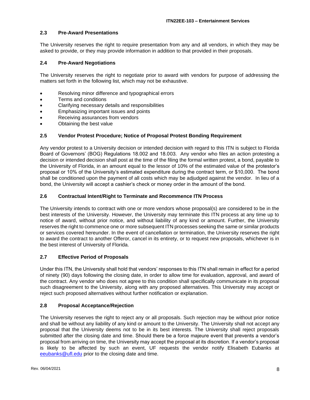# <span id="page-7-0"></span>**2.3 Pre-Award Presentations**

The University reserves the right to require presentation from any and all vendors, in which they may be asked to provide, or they may provide information in addition to that provided in their proposals.

#### <span id="page-7-1"></span>**2.4 Pre-Award Negotiations**

The University reserves the right to negotiate prior to award with vendors for purpose of addressing the matters set forth in the following list, which may not be exhaustive.

- Resolving minor difference and typographical errors
- Terms and conditions
- Clarifying necessary details and responsibilities
- Emphasizing important issues and points
- Receiving assurances from vendors
- Obtaining the best value

#### <span id="page-7-2"></span>**2.5 Vendor Protest Procedure; Notice of Proposal Protest Bonding Requirement**

Any vendor protest to a University decision or intended decision with regard to this ITN is subject to Florida Board of Governors' (BOG) Regulations 18.002 and 18.003. Any vendor who files an action protesting a decision or intended decision shall post at the time of the filing the formal written protest, a bond, payable to the University of Florida, in an amount equal to the lessor of 10% of the estimated value of the protestor's proposal or 10% of the University's estimated expenditure during the contract term, or \$10,000. The bond shall be conditioned upon the payment of all costs which may be adjudged against the vendor. In lieu of a bond, the University will accept a cashier's check or money order in the amount of the bond.

#### <span id="page-7-3"></span>**2.6 Contractual Intent/Right to Terminate and Recommence ITN Process**

The University intends to contract with one or more vendors whose proposal(s) are considered to be in the best interests of the University. However, the University may terminate this ITN process at any time up to notice of award, without prior notice, and without liability of any kind or amount. Further, the University reserves the right to commence one or more subsequent ITN processes seeking the same or similar products or services covered hereunder. In the event of cancellation or termination, the University reserves the right to award the contract to another Offeror, cancel in its entirety, or to request new proposals, whichever is in the best interest of University of Florida.

#### <span id="page-7-4"></span>**2.7 Effective Period of Proposals**

Under this ITN, the University shall hold that vendors' responses to this ITN shall remain in effect for a period of ninety (90) days following the closing date, in order to allow time for evaluation, approval, and award of the contract. Any vendor who does not agree to this condition shall specifically communicate in its proposal such disagreement to the University, along with any proposed alternatives. This University may accept or reject such proposed alternatives without further notification or explanation.

#### <span id="page-7-5"></span>**2.8 Proposal Acceptance/Rejection**

The University reserves the right to reject any or all proposals. Such rejection may be without prior notice and shall be without any liability of any kind or amount to the University. The University shall not accept any proposal that the University deems not to be in its best interests. The University shall reject proposals submitted after the closing date and time. Should there be a force majeure event that prevents a vendor's proposal from arriving on time, the University may accept the proposal at its discretion. If a vendor's proposal is likely to be affected by such an event, UF requests the vendor notify Elisabeth Eubanks at [eeubanks@ufl.edu](mailto:eeubanks@ufl.edu) prior to the closing date and time.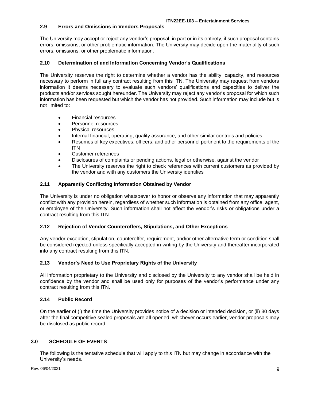# <span id="page-8-0"></span>**2.9 Errors and Omissions in Vendors Proposals**

The University may accept or reject any vendor's proposal, in part or in its entirety, if such proposal contains errors, omissions, or other problematic information. The University may decide upon the materiality of such errors, omissions, or other problematic information.

# <span id="page-8-1"></span>**2.10 Determination of and Information Concerning Vendor's Qualifications**

The University reserves the right to determine whether a vendor has the ability, capacity, and resources necessary to perform in full any contract resulting from this ITN. The University may request from vendors information it deems necessary to evaluate such vendors' qualifications and capacities to deliver the products and/or services sought hereunder. The University may reject any vendor's proposal for which such information has been requested but which the vendor has not provided. Such information may include but is not limited to:

- Financial resources
- Personnel resources
- Physical resources
- Internal financial, operating, quality assurance, and other similar controls and policies
- Resumes of key executives, officers, and other personnel pertinent to the requirements of the ITN
- Customer references
- Disclosures of complaints or pending actions, legal or otherwise, against the vendor
- The University reserves the right to check references with current customers as provided by the vendor and with any customers the University identifies

# <span id="page-8-2"></span>**2.11 Apparently Conflicting Information Obtained by Vendor**

The University is under no obligation whatsoever to honor or observe any information that may apparently conflict with any provision herein, regardless of whether such information is obtained from any office, agent, or employee of the University. Such information shall not affect the vendor's risks or obligations under a contract resulting from this ITN.

# <span id="page-8-3"></span>**2.12 Rejection of Vendor Counteroffers, Stipulations, and Other Exceptions**

Any vendor exception, stipulation, counteroffer, requirement, and/or other alternative term or condition shall be considered rejected unless specifically accepted in writing by the University and thereafter incorporated into any contract resulting from this ITN.

# <span id="page-8-4"></span>**2.13 Vendor's Need to Use Proprietary Rights of the University**

All information proprietary to the University and disclosed by the University to any vendor shall be held in confidence by the vendor and shall be used only for purposes of the vendor's performance under any contract resulting from this ITN.

# <span id="page-8-5"></span>**2.14 Public Record**

On the earlier of (i) the time the University provides notice of a decision or intended decision, or (ii) 30 days after the final competitive sealed proposals are all opened, whichever occurs earlier, vendor proposals may be disclosed as public record.

# <span id="page-8-6"></span>**3.0 SCHEDULE OF EVENTS**

The following is the tentative schedule that will apply to this ITN but may change in accordance with the University's needs.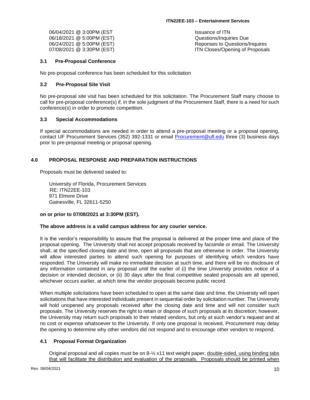| 06/04/2021 @ 3:00PM (EST  | Issuance of ITN                 |
|---------------------------|---------------------------------|
| 06/18/2021 @ 5:00PM (EST) | Questions/Inquiries Due         |
| 06/24/2021 @ 5:00PM (EST) | Reponses to Questions/Inquires  |
| 07/08/2021 @ 3:30PM (EST) | ITN Closes/Opening of Proposals |

#### <span id="page-9-0"></span>**3.1 Pre-Proposal Conference**

No pre-proposal conference has been scheduled for this solicitation

#### <span id="page-9-1"></span>**3.2 Pre-Proposal Site Visit**

No pre-proposal site visit has been scheduled for this solicitation. The Procurement Staff many choose to call for pre-proposal conference(s) if, in the sole judgment of the Procurement Staff, there is a need for such conference(s) in order to promote competition.

#### <span id="page-9-2"></span>**3.3 Special Accommodations**

If special accommodations are needed in order to attend a pre-proposal meeting or a proposal opening, contact UF Procurement Services (352) 392-1331 or email [Procurement@ufl.edu](mailto:Procurement@ufl.edu) three (3) business days prior to pre-proposal meeting or proposal opening.

#### <span id="page-9-3"></span>**4.0 PROPOSAL RESPONSE AND PREPARATION INSTRUCTIONS**

Proposals must be delivered sealed to:

University of Florida, Procurement Services RE: ITN22EE-103 971 Elmore Drive Gainesville, FL 32611-5250

#### **on or prior to 07/08/2021 at 3:30PM (EST).**

#### **The above address is a valid campus address for any courier service.**

It is the vendor's responsibility to assure that the proposal is delivered at the proper time and place of the proposal opening. The University shall not accept proposals received by facsimile or email. The University shall, at the specified closing date and time, open all proposals that are otherwise in order. The University will allow interested parties to attend such opening for purposes of identifying which vendors have responded. The University will make no immediate decision at such time, and there will be no disclosure of any information contained in any proposal until the earlier of (i) the time University provides notice of a decision or intended decision, or (ii) 30 days after the final competitive sealed proposals are all opened, whichever occurs earlier, at which time the vendor proposals become public record.

When multiple solicitations have been scheduled to open at the same date and time, the University will open solicitations that have interested individuals present in sequential order by solicitation number. The University will hold unopened any proposals received after the closing date and time and will not consider such proposals. The University reserves the right to retain or dispose of such proposals at its discretion; however, the University may return such proposals to their related vendors, but only at such vendor's request and at no cost or expense whatsoever to the University. If only one proposal is received, Procurement may delay the opening to determine why other vendors did not respond and to encourage other vendors to respond.

#### <span id="page-9-4"></span>**4.1 Proposal Format Organization**

Original proposal and all copies must be on 8-½ x11 text weight paper, double-sided, using binding tabs that will facilitate the distribution and evaluation of the proposals. Proposals should be printed when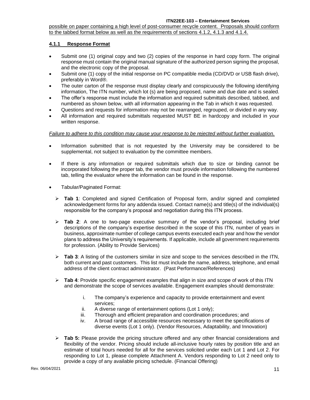possible on paper containing a high level of post-consumer recycle content. Proposals should conform to the tabbed format below as well as the requirements of sections 4.1.2, 4.1.3 and 4.1.4.

# <span id="page-10-0"></span>**4.1.1 Response Format**

- Submit one (1) original copy and two (2) copies of the response in hard copy form. The original response must contain the original manual signature of the authorized person signing the proposal, and the electronic copy of the proposal.
- Submit one (1) copy of the initial response on PC compatible media (CD/DVD or USB flash drive), preferably in Word®.
- The outer carton of the response must display clearly and conspicuously the following identifying information, The ITN number, which lot (s) are being proposed, name and due date and is sealed.
- The offer's response must include the information and required submittals described, tabbed, and numbered as shown below, with all information appearing in the Tab in which it was requested.
- Questions and requests for information may not be rearranged, regrouped, or divided in any way.
- All information and required submittals requested MUST BE in hardcopy and included in your written response.

#### *Failure to adhere to this condition may cause your response to be rejected without further evaluation.*

- Information submitted that is not requested by the University may be considered to be supplemental, not subject to evaluation by the committee members.
- If there is any information or required submittals which due to size or binding cannot be incorporated following the proper tab, the vendor must provide information following the numbered tab, telling the evaluator where the information can be found in the response.
- Tabular/Paginated Format:
	- ➢ **Tab 1**: Completed and signed Certification of Proposal form, and/or signed and completed acknowledgement forms for any addenda issued. Contact name(s) and title(s) of the individual(s) responsible for the company's proposal and negotiation during this ITN process.
	- ➢ **Tab 2**: A one to two-page executive summary of the vendor's proposal, including brief descriptions of the company's expertise described in the scope of this ITN, number of years in business, approximate number of college campus events executed each year and how the vendor plans to address the University's requirements. If applicable, include all government requirements for profession. (Ability to Provide Services)
	- ➢ **Tab 3**: A listing of the customers similar in size and scope to the services described in the ITN, both current and past customers. This list must include the name, address, telephone, and email address of the client contract administrator. (Past Performance/References)
	- ➢ **Tab 4**: Provide specific engagement examples that align in size and scope of work of this ITN and demonstrate the scope of services available. Engagement examples should demonstrate:
		- i. The company's experience and capacity to provide entertainment and event services;
		- ii. A diverse range of entertainment options (Lot 1 only);
		- iii. Thorough and efficient preparation and coordination procedures; and
		- iv. A broad range of accessible resources necessary to meet the specifications of diverse events (Lot 1 only). (Vendor Resources, Adaptability, and Innovation)
	- ➢ **Tab 5:** Please provide the pricing structure offered and any other financial considerations and flexibility of the vendor. Pricing should include all-inclusive hourly rates by position title and an estimate of total hours needed for all for the services solicited under each Lot 1 and Lot 2. For responding to Lot 1, please complete Attachment A. Vendors responding to Lot 2 need only to provide a copy of any available pricing schedule. (Financial Offering)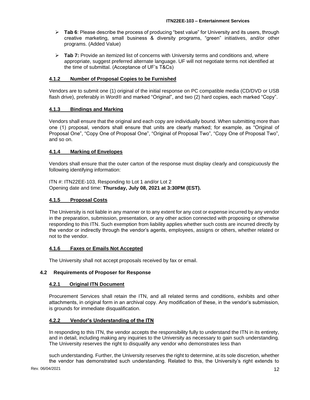- ➢ **Tab 6**: Please describe the process of producing "best value" for University and its users, through creative marketing, small business & diversity programs, "green" initiatives, and/or other programs. (Added Value)
- ➢ **Tab 7:** Provide an itemized list of concerns with University terms and conditions and, where appropriate, suggest preferred alternate language. UF will not negotiate terms not identified at the time of submittal. (Acceptance of UF's T&Cs)

# <span id="page-11-0"></span>**4.1.2 Number of Proposal Copies to be Furnished**

Vendors are to submit one (1) original of the initial response on PC compatible media (CD/DVD or USB flash drive), preferably in Word® and marked "Original", and two (2) hard copies, each marked "Copy".

# <span id="page-11-1"></span>**4.1.3 Bindings and Marking**

Vendors shall ensure that the original and each copy are individually bound. When submitting more than one (1) proposal, vendors shall ensure that units are clearly marked; for example, as "Original of Proposal One", "Copy One of Proposal One", "Original of Proposal Two", "Copy One of Proposal Two", and so on.

# <span id="page-11-2"></span>**4.1.4 Marking of Envelopes**

Vendors shall ensure that the outer carton of the response must display clearly and conspicuously the following identifying information:

ITN #: ITN22EE-103, Responding to Lot 1 and/or Lot 2 Opening date and time: **Thursday, July 08, 2021 at 3:30PM (EST).**

# <span id="page-11-3"></span>**4.1.5 Proposal Costs**

The University is not liable in any manner or to any extent for any cost or expense incurred by any vendor in the preparation, submission, presentation, or any other action connected with proposing or otherwise responding to this ITN. Such exemption from liability applies whether such costs are incurred directly by the vendor or indirectly through the vendor's agents, employees, assigns or others, whether related or not to the vendor.

#### <span id="page-11-4"></span>**4.1.6 Faxes or Emails Not Accepted**

The University shall not accept proposals received by fax or email.

# <span id="page-11-6"></span><span id="page-11-5"></span>**4.2 Requirements of Proposer for Response**

#### **4.2.1 Original ITN Document**

Procurement Services shall retain the ITN, and all related terms and conditions, exhibits and other attachments, in original form in an archival copy. Any modification of these, in the vendor's submission, is grounds for immediate disqualification.

#### <span id="page-11-7"></span>**4.2.2 Vendor's Understanding of the ITN**

In responding to this ITN, the vendor accepts the responsibility fully to understand the ITN in its entirety, and in detail, including making any inquiries to the University as necessary to gain such understanding. The University reserves the right to disqualify any vendor who demonstrates less than

such understanding. Further, the University reserves the right to determine, at its sole discretion, whether the vendor has demonstrated such understanding. Related to this, the University's right extends to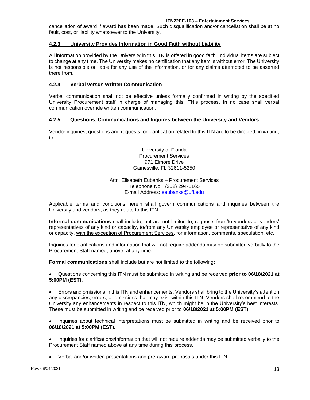cancellation of award if award has been made. Such disqualification and/or cancellation shall be at no fault, cost, or liability whatsoever to the University.

# <span id="page-12-0"></span>**4.2.3 University Provides Information in Good Faith without Liability**

All information provided by the University in this ITN is offered in good faith. Individual items are subject to change at any time. The University makes no certification that any item is without error. The University is not responsible or liable for any use of the information, or for any claims attempted to be asserted there from.

# <span id="page-12-1"></span>**4.2.4 Verbal versus Written Communication**

Verbal communication shall not be effective unless formally confirmed in writing by the specified University Procurement staff in charge of managing this ITN's process. In no case shall verbal communication override written communication.

# <span id="page-12-2"></span>**4.2.5 Questions, Communications and Inquires between the University and Vendors**

Vendor inquiries, questions and requests for clarification related to this ITN are to be directed, in writing, to:

> University of Florida Procurement Services 971 Elmore Drive Gainesville, FL 32611-5250

#### Attn: Elisabeth Eubanks – Procurement Services Telephone No: (352) 294-1165 E-mail Address: [eeubanks@ufl.edu](mailto:eeubanks@ufl.edu)

Applicable terms and conditions herein shall govern communications and inquiries between the University and vendors, as they relate to this ITN.

**Informal communications** shall include, but are not limited to, requests from/to vendors or vendors' representatives of any kind or capacity, to/from any University employee or representative of any kind or capacity, with the exception of Procurement Services, for information, comments, speculation, etc.

Inquiries for clarifications and information that will not require addenda may be submitted verbally to the Procurement Staff named, above, at any time.

**Formal communications** shall include but are not limited to the following:

• Questions concerning this ITN must be submitted in writing and be received **prior to 06/18/2021 at 5:00PM (EST).**

• Errors and omissions in this ITN and enhancements. Vendors shall bring to the University's attention any discrepancies, errors, or omissions that may exist within this ITN. Vendors shall recommend to the University any enhancements in respect to this ITN, which might be in the University's best interests. These must be submitted in writing and be received prior to **06/18/2021 at 5:00PM (EST).**

• Inquiries about technical interpretations must be submitted in writing and be received prior to **06/18/2021 at 5:00PM (EST).**

Inquiries for clarifications/information that will not require addenda may be submitted verbally to the Procurement Staff named above at any time during this process.

• Verbal and/or written presentations and pre-award proposals under this ITN.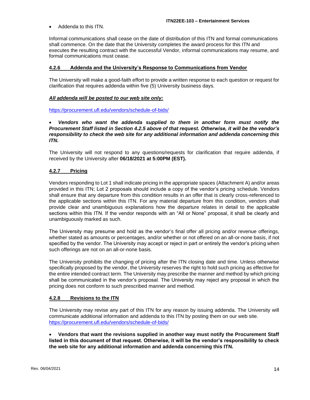• Addenda to this ITN.

Informal communications shall cease on the date of distribution of this ITN and formal communications shall commence. On the date that the University completes the award process for this ITN and executes the resulting contract with the successful Vendor, informal communications may resume, and formal communications must cease.

#### <span id="page-13-0"></span>**4.2.6 Addenda and the University's Response to Communications from Vendor**

The University will make a good-faith effort to provide a written response to each question or request for clarification that requires addenda within five (5) University business days.

#### *All addenda will be posted to our web site only:*

<https://procurement.ufl.edu/vendors/schedule-of-bids/>

• *Vendors who want the addenda supplied to them in another form must notify the Procurement Staff listed in Section 4.2.5 above of that request. Otherwise, it will be the vendor's responsibility to check the web site for any additional information and addenda concerning this ITN.*

The University will not respond to any questions/requests for clarification that require addenda, if received by the University after **06/18/2021 at 5:00PM (EST).**

#### <span id="page-13-1"></span>**4.2.7 Pricing**

Vendors responding to Lot 1 shall indicate pricing in the appropriate spaces (Attachment A) and/or areas provided in this ITN; Lot 2 proposals should include a copy of the vendor's pricing schedule. Vendors shall ensure that any departure from this condition results in an offer that is clearly cross-referenced to the applicable sections within this ITN. For any material departure from this condition, vendors shall provide clear and unambiguous explanations how the departure relates in detail to the applicable sections within this ITN. If the vendor responds with an "All or None" proposal, it shall be clearly and unambiguously marked as such.

The University may presume and hold as the vendor's final offer all pricing and/or revenue offerings, whether stated as amounts or percentages, and/or whether or not offered on an all-or-none basis, if not specified by the vendor. The University may accept or reject in part or entirely the vendor's pricing when such offerings are not on an all-or-none basis.

The University prohibits the changing of pricing after the ITN closing date and time. Unless otherwise specifically proposed by the vendor, the University reserves the right to hold such pricing as effective for the entire intended contract term. The University may prescribe the manner and method by which pricing shall be communicated in the vendor's proposal. The University may reject any proposal in which the pricing does not conform to such prescribed manner and method.

#### <span id="page-13-2"></span>**4.2.8 Revisions to the ITN**

The University may revise any part of this ITN for any reason by issuing addenda. The University will communicate additional information and addenda to this ITN by posting them on our web site. <https://procurement.ufl.edu/vendors/schedule-of-bids/>

• **Vendors that want the revisions supplied in another way must notify the Procurement Staff listed in this document of that request. Otherwise, it will be the vendor's responsibility to check the web site for any additional information and addenda concerning this ITN.**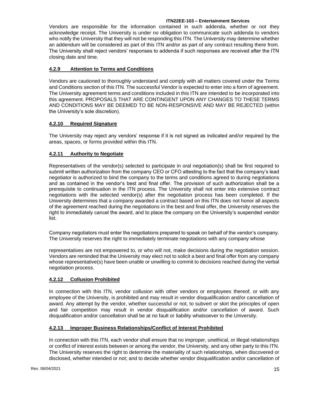Vendors are responsible for the information contained in such addenda, whether or not they acknowledge receipt. The University is under no obligation to communicate such addenda to vendors who notify the University that they will not be responding this ITN. The University may determine whether an addendum will be considered as part of this ITN and/or as part of any contract resulting there from. The University shall reject vendors' responses to addenda if such responses are received after the ITN closing date and time.

# <span id="page-14-0"></span>**4.2.9 Attention to Terms and Conditions**

Vendors are cautioned to thoroughly understand and comply with all matters covered under the Terms and Conditions section of this ITN. The successful Vendor is expected to enter into a form of agreement. The University agreement terms and conditions included in this ITN are intended to be incorporated into this agreement. PROPOSALS THAT ARE CONTINGENT UPON ANY CHANGES TO THESE TERMS AND CONDITIONS MAY BE DEEMED TO BE NON-RESPONSIVE AND MAY BE REJECTED (within the University's sole discretion).

# <span id="page-14-1"></span>**4.2.10 Required Signature**

The University may reject any vendors' response if it is not signed as indicated and/or required by the areas, spaces, or forms provided within this ITN.

# <span id="page-14-2"></span>**4.2.11 Authority to Negotiate**

Representatives of the vendor(s) selected to participate in oral negotiation(s) shall be first required to submit written authorization from the company CEO or CFO attesting to the fact that the company's lead negotiator is authorized to bind the company to the terms and conditions agreed to during negotiations and as contained in the vendor's best and final offer. The provision of such authorization shall be a prerequisite to continuation in the ITN process. The University shall not enter into extensive contract negotiations with the selected vendor(s) after the negotiation process has been completed. If the University determines that a company awarded a contract based on this ITN does not honor all aspects of the agreement reached during the negotiations in the best and final offer, the University reserves the right to immediately cancel the award, and to place the company on the University's suspended vendor list.

Company negotiators must enter the negotiations prepared to speak on behalf of the vendor's company. The University reserves the right to immediately terminate negotiations with any company whose

representatives are not empowered to, or who will not, make decisions during the negotiation session. Vendors are reminded that the University may elect not to solicit a best and final offer from any company whose representative(s) have been unable or unwilling to commit to decisions reached during the verbal negotiation process.

# <span id="page-14-3"></span>**4.2.12 Collusion Prohibited**

In connection with this ITN, vendor collusion with other vendors or employees thereof, or with any employee of the University, is prohibited and may result in vendor disqualification and/or cancellation of award. Any attempt by the vendor, whether successful or not, to subvert or skirt the principles of open and fair competition may result in vendor disqualification and/or cancellation of award. Such disqualification and/or cancellation shall be at no fault or liability whatsoever to the University.

# <span id="page-14-4"></span>**4.2.13 Improper Business Relationships/Conflict of Interest Prohibited**

In connection with this ITN, each vendor shall ensure that no improper, unethical, or illegal relationships or conflict of interest exists between or among the vendor, the University, and any other party to this ITN. The University reserves the right to determine the materiality of such relationships, when discovered or disclosed, whether intended or not; and to decide whether vendor disqualification and/or cancellation of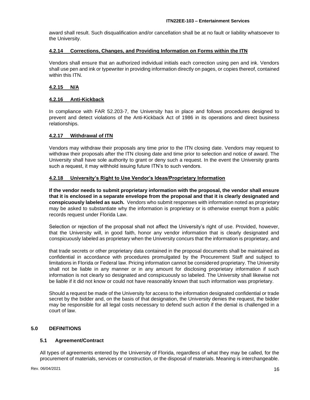award shall result. Such disqualification and/or cancellation shall be at no fault or liability whatsoever to the University.

#### <span id="page-15-0"></span>**4.2.14 Corrections, Changes, and Providing Information on Forms within the ITN**

Vendors shall ensure that an authorized individual initials each correction using pen and ink. Vendors shall use pen and ink or typewriter in providing information directly on pages, or copies thereof, contained within this ITN.

# <span id="page-15-1"></span>**4.2.15 N/A**

# <span id="page-15-2"></span>**4.2.16 Anti-Kickback**

In compliance with FAR 52.203-7, the University has in place and follows procedures designed to prevent and detect violations of the Anti-Kickback Act of 1986 in its operations and direct business relationships.

# <span id="page-15-3"></span>**4.2.17 Withdrawal of ITN**

Vendors may withdraw their proposals any time prior to the ITN closing date. Vendors may request to withdraw their proposals after the ITN closing date and time prior to selection and notice of award. The University shall have sole authority to grant or deny such a request. In the event the University grants such a request, it may withhold issuing future ITN's to such vendors.

#### <span id="page-15-4"></span>**4.2.18 University's Right to Use Vendor's Ideas/Proprietary Information**

**If the vendor needs to submit proprietary information with the proposal, the vendor shall ensure that it is enclosed in a separate envelope from the proposal and that it is clearly designated and conspicuously labeled as such.** Vendors who submit responses with information noted as proprietary may be asked to substantiate why the information is proprietary or is otherwise exempt from a public records request under Florida Law.

Selection or rejection of the proposal shall not affect the University's right of use. Provided, however, that the University will, in good faith, honor any vendor information that is clearly designated and conspicuously labeled as proprietary when the University concurs that the information is proprietary, and

that trade secrets or other proprietary data contained in the proposal documents shall be maintained as confidential in accordance with procedures promulgated by the Procurement Staff and subject to limitations in Florida or Federal law. Pricing information cannot be considered proprietary. The University shall not be liable in any manner or in any amount for disclosing proprietary information if such information is not clearly so designated and conspicuously so labeled. The University shall likewise not be liable if it did not know or could not have reasonably known that such information was proprietary.

Should a request be made of the University for access to the information designated confidential or trade secret by the bidder and, on the basis of that designation, the University denies the request, the bidder may be responsible for all legal costs necessary to defend such action if the denial is challenged in a court of law.

# <span id="page-15-5"></span>**5.0 DEFINITIONS**

# <span id="page-15-6"></span>**5.1 Agreement/Contract**

All types of agreements entered by the University of Florida, regardless of what they may be called, for the procurement of materials, services or construction, or the disposal of materials. Meaning is interchangeable.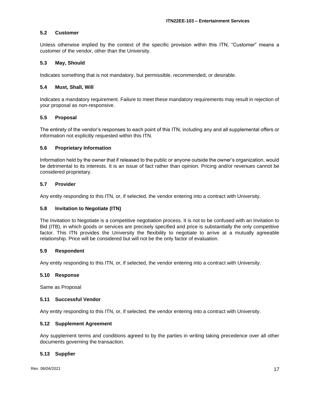#### <span id="page-16-0"></span>**5.2 Customer**

Unless otherwise implied by the context of the specific provision within this ITN, "Customer" means a customer of the vendor, other than the University.

#### <span id="page-16-1"></span>**5.3 May, Should**

Indicates something that is not mandatory, but permissible, recommended, or desirable.

#### <span id="page-16-2"></span>**5.4 Must, Shall, Will**

Indicates a mandatory requirement. Failure to meet these mandatory requirements may result in rejection of your proposal as non-responsive.

#### <span id="page-16-3"></span>**5.5 Proposal**

The entirety of the vendor's responses to each point of this ITN, including any and all supplemental offers or information not explicitly requested within this ITN.

#### <span id="page-16-4"></span>**5.6 Proprietary Information**

Information held by the owner that if released to the public or anyone outside the owner's organization, would be detrimental to its interests. It is an issue of fact rather than opinion. Pricing and/or revenues cannot be considered proprietary.

#### <span id="page-16-5"></span>**5.7 Provider**

Any entity responding to this ITN, or, if selected, the vendor entering into a contract with University.

#### <span id="page-16-6"></span>**5.8 Invitation to Negotiate (ITN)**

The Invitation to Negotiate is a competitive negotiation process. It is not to be confused with an Invitation to Bid (ITB), in which goods or services are precisely specified and price is substantially the only competitive factor. This ITN provides the University the flexibility to negotiate to arrive at a mutually agreeable relationship. Price will be considered but will not be the only factor of evaluation.

#### <span id="page-16-7"></span>**5.9 Respondent**

Any entity responding to this ITN, or, if selected, the vendor entering into a contract with University.

#### <span id="page-16-8"></span>**5.10 Response**

Same as Proposal

#### <span id="page-16-9"></span>**5.11 Successful Vendor**

Any entity responding to this ITN, or, if selected, the vendor entering into a contract with University.

#### <span id="page-16-10"></span>**5.12 Supplement Agreement**

Any supplement terms and conditions agreed to by the parties in writing taking precedence over all other documents governing the transaction.

#### <span id="page-16-11"></span>**5.13 Supplier**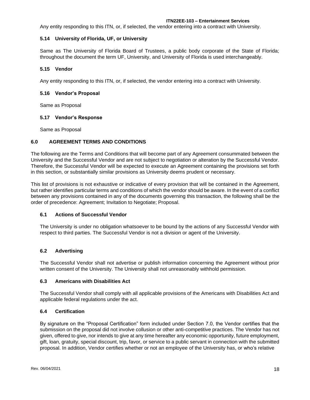Any entity responding to this ITN, or, if selected, the vendor entering into a contract with University.

# <span id="page-17-0"></span>**5.14 University of Florida, UF, or University**

Same as The University of Florida Board of Trustees, a public body corporate of the State of Florida; throughout the document the term UF, University, and University of Florida is used interchangeably.

# <span id="page-17-1"></span>**5.15 Vendor**

Any entity responding to this ITN, or, if selected, the vendor entering into a contract with University.

# <span id="page-17-2"></span>**5.16 Vendor's Proposal**

Same as Proposal

#### <span id="page-17-3"></span>**5.17 Vendor's Response**

Same as Proposal

# <span id="page-17-4"></span>**6.0 AGREEMENT TERMS AND CONDITIONS**

The following are the Terms and Conditions that will become part of any Agreement consummated between the University and the Successful Vendor and are not subject to negotiation or alteration by the Successful Vendor. Therefore, the Successful Vendor will be expected to execute an Agreement containing the provisions set forth in this section, or substantially similar provisions as University deems prudent or necessary.

This list of provisions is not exhaustive or indicative of every provision that will be contained in the Agreement, but rather identifies particular terms and conditions of which the vendor should be aware. In the event of a conflict between any provisions contained in any of the documents governing this transaction, the following shall be the order of precedence: Agreement; Invitation to Negotiate; Proposal.

# <span id="page-17-5"></span>**6.1 Actions of Successful Vendor**

The University is under no obligation whatsoever to be bound by the actions of any Successful Vendor with respect to third parties. The Successful Vendor is not a division or agent of the University.

# <span id="page-17-6"></span>**6.2 Advertising**

The Successful Vendor shall not advertise or publish information concerning the Agreement without prior written consent of the University. The University shall not unreasonably withhold permission.

# <span id="page-17-7"></span>**6.3 Americans with Disabilities Act**

The Successful Vendor shall comply with all applicable provisions of the Americans with Disabilities Act and applicable federal regulations under the act.

# <span id="page-17-8"></span>**6.4 Certification**

By signature on the "Proposal Certification" form included under Section 7.0, the Vendor certifies that the submission on the proposal did not involve collusion or other anti-competitive practices. The Vendor has not given, offered to give, nor intends to give at any time hereafter any economic opportunity, future employment, gift, loan, gratuity, special discount, trip, favor, or service to a public servant in connection with the submitted proposal. In addition, Vendor certifies whether or not an employee of the University has, or who's relative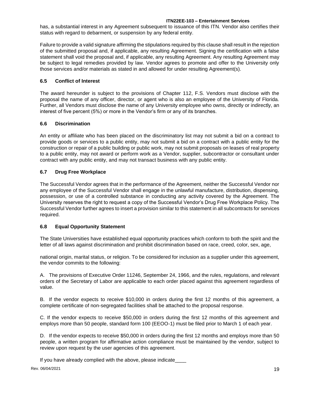has, a substantial interest in any Agreement subsequent to issuance of this ITN. Vendor also certifies their status with regard to debarment, or suspension by any federal entity.

Failure to provide a valid signature affirming the stipulations required by this clause shall result in the rejection of the submitted proposal and, if applicable, any resulting Agreement. Signing the certification with a false statement shall void the proposal and, if applicable, any resulting Agreement. Any resulting Agreement may be subject to legal remedies provided by law. Vendor agrees to promote and offer to the University only those services and/or materials as stated in and allowed for under resulting Agreement(s).

# <span id="page-18-0"></span>**6.5 Conflict of Interest**

The award hereunder is subject to the provisions of Chapter 112, F.S. Vendors must disclose with the proposal the name of any officer, director, or agent who is also an employee of the University of Florida. Further, all Vendors must disclose the name of any University employee who owns, directly or indirectly, an interest of five percent (5%) or more in the Vendor's firm or any of its branches.

# <span id="page-18-1"></span>**6.6 Discrimination**

An entity or affiliate who has been placed on the discriminatory list may not submit a bid on a contract to provide goods or services to a public entity, may not submit a bid on a contract with a public entity for the construction or repair of a public building or public work, may not submit proposals on leases of real property to a public entity, may not award or perform work as a Vendor, supplier, subcontractor or consultant under contract with any public entity, and may not transact business with any public entity.

# <span id="page-18-2"></span>**6.7 Drug Free Workplace**

The Successful Vendor agrees that in the performance of the Agreement, neither the Successful Vendor nor any employee of the Successful Vendor shall engage in the unlawful manufacture, distribution, dispensing, possession, or use of a controlled substance in conducting any activity covered by the Agreement. The University reserves the right to request a copy of the Successful Vendor's Drug Free Workplace Policy. The Successful Vendor further agrees to insert a provision similar to this statement in all subcontracts for services required.

# <span id="page-18-3"></span>**6.8 Equal Opportunity Statement**

The State Universities have established equal opportunity practices which conform to both the spirit and the letter of all laws against discrimination and prohibit discrimination based on race, creed, color, sex, age,

national origin, marital status, or religion. To be considered for inclusion as a supplier under this agreement, the vendor commits to the following:

A. The provisions of Executive Order 11246, September 24, 1966, and the rules, regulations, and relevant orders of the Secretary of Labor are applicable to each order placed against this agreement regardless of value.

B. If the vendor expects to receive \$10,000 in orders during the first 12 months of this agreement, a complete certificate of non-segregated facilities shall be attached to the proposal response.

C. If the vendor expects to receive \$50,000 in orders during the first 12 months of this agreement and employs more than 50 people, standard form 100 (EEOO-1) must be filed prior to March 1 of each year.

D. If the vendor expects to receive \$50,000 in orders during the first 12 months and employs more than 50 people, a written program for affirmative action compliance must be maintained by the vendor, subject to review upon request by the user agencies of this agreement.

If you have already complied with the above, please indicate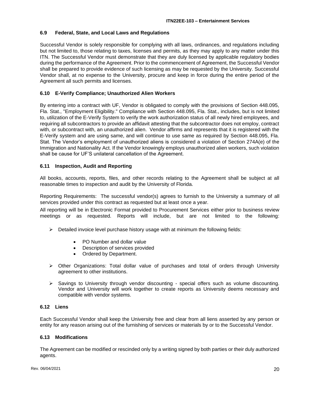#### <span id="page-19-0"></span>**6.9 Federal, State, and Local Laws and Regulations**

Successful Vendor is solely responsible for complying with all laws, ordinances, and regulations including but not limited to, those relating to taxes, licenses and permits, as they may apply to any matter under this ITN. The Successful Vendor must demonstrate that they are duly licensed by applicable regulatory bodies during the performance of the Agreement. Prior to the commencement of Agreement, the Successful Vendor shall be prepared to provide evidence of such licensing as may be requested by the University. Successful Vendor shall, at no expense to the University, procure and keep in force during the entire period of the Agreement all such permits and licenses.

## <span id="page-19-1"></span>**6.10 E-Verify Compliance; Unauthorized Alien Workers**

By entering into a contract with UF, Vendor is obligated to comply with the provisions of Section 448.095, Fla. Stat., "Employment Eligibility." Compliance with Section 448.095, Fla. Stat., includes, but is not limited to, utilization of the E-Verify System to verify the work authorization status of all newly hired employees, and requiring all subcontractors to provide an affidavit attesting that the subcontractor does not employ, contract with, or subcontract with, an unauthorized alien. Vendor affirms and represents that it is registered with the E-Verify system and are using same, and will continue to use same as required by Section 448.095, Fla. Stat. The Vendor's employment of unauthorized aliens is considered a violation of Section 274A(e) of the Immigration and Nationality Act. If the Vendor knowingly employs unauthorized alien workers, such violation shall be cause for UF'S unilateral cancellation of the Agreement.

#### <span id="page-19-2"></span>**6.11 Inspection, Audit and Reporting**

All books, accounts, reports, files, and other records relating to the Agreement shall be subject at all reasonable times to inspection and audit by the University of Florida.

Reporting Requirements: The successful vendor(s) agrees to furnish to the University a summary of all services provided under this contract as requested but at least once a year.

All reporting will be in Electronic Format provided to Procurement Services either prior to business review meetings or as requested. Reports will include, but are not limited to the following:

- $\triangleright$  Detailed invoice level purchase history usage with at minimum the following fields:
	- PO Number and dollar value
	- Description of services provided
	- Ordered by Department.
- ➢ Other Organizations: Total dollar value of purchases and total of orders through University agreement to other institutions.
- ➢ Savings to University through vendor discounting special offers such as volume discounting. Vendor and University will work together to create reports as University deems necessary and compatible with vendor systems.

#### <span id="page-19-3"></span>**6.12 Liens**

Each Successful Vendor shall keep the University free and clear from all liens asserted by any person or entity for any reason arising out of the furnishing of services or materials by or to the Successful Vendor.

#### <span id="page-19-4"></span>**6.13 Modifications**

The Agreement can be modified or rescinded only by a writing signed by both parties or their duly authorized agents.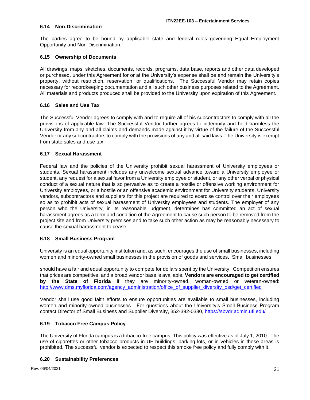#### <span id="page-20-0"></span>**6.14 Non-Discrimination**

The parties agree to be bound by applicable state and federal rules governing Equal Employment Opportunity and Non-Discrimination.

#### <span id="page-20-1"></span>**6.15 Ownership of Documents**

All drawings, maps, sketches, documents, records, programs, data base, reports and other data developed or purchased, under this Agreement for or at the University's expense shall be and remain the University's property, without restriction, reservation, or qualifications. The Successful Vendor may retain copies necessary for recordkeeping documentation and all such other business purposes related to the Agreement. All materials and products produced shall be provided to the University upon expiration of this Agreement.

#### <span id="page-20-2"></span>**6.16 Sales and Use Tax**

The Successful Vendor agrees to comply with and to require all of his subcontractors to comply with all the provisions of applicable law. The Successful Vendor further agrees to indemnify and hold harmless the University from any and all claims and demands made against it by virtue of the failure of the Successful Vendor or any subcontractors to comply with the provisions of any and all said laws. The University is exempt from state sales and use tax.

#### <span id="page-20-3"></span>**6.17 Sexual Harassment**

Federal law and the policies of the University prohibit sexual harassment of University employees or students. Sexual harassment includes any unwelcome sexual advance toward a University employee or student, any request for a sexual favor from a University employee or student, or any other verbal or physical conduct of a sexual nature that is so pervasive as to create a hostile or offensive working environment for University employees, or a hostile or an offensive academic environment for University students. University vendors, subcontractors and suppliers for this project are required to exercise control over their employees so as to prohibit acts of sexual harassment of University employees and students. The employer of any person who the University, in its reasonable judgment, determines has committed an act of sexual harassment agrees as a term and condition of the Agreement to cause such person to be removed from the project site and from University premises and to take such other action as may be reasonably necessary to cause the sexual harassment to cease.

# <span id="page-20-4"></span>**6.18 Small Business Program**

University is an equal opportunity institution and, as such, encourages the use of small businesses, including women and minority-owned small businesses in the provision of goods and services. Small businesses

should have a fair and equal opportunity to compete for dollars spent by the University. Competition ensures that prices are competitive, and a broad vendor base is available. **Vendors are encouraged to get certified by the State of Florida** if they are minority-owned, woman-owned or veteran-owned: [http://www.dms.myflorida.com/agency\\_administration/office\\_of\\_supplier\\_diversity\\_osd/get\\_certified](http://www.dms.myflorida.com/agency_administration/office_of_supplier_diversity_osd/get_certified)

Vendor shall use good faith efforts to ensure opportunities are available to small businesses, including women and minority-owned businesses. For questions about the University's Small Business Program contact Director of Small Business and Supplier Diversity, 352-392-0380,<https://sbvdr.admin.ufl.edu/>

# <span id="page-20-5"></span>**6.19 Tobacco Free Campus Policy**

The University of Florida campus is a tobacco-free campus. This policy was effective as of July 1, 2010. The use of cigarettes or other tobacco products in UF buildings, parking lots, or in vehicles in these areas is prohibited. The successful vendor is expected to respect this smoke free policy and fully comply with it.

#### <span id="page-20-6"></span>**6.20 Sustainability Preferences**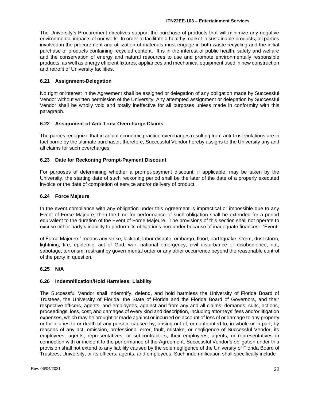The University's Procurement directives support the purchase of products that will minimize any negative environmental impacts of our work. In order to facilitate a healthy market in sustainable products, all parties involved in the procurement and utilization of materials must engage in both waste recycling and the initial purchase of products containing recycled content. It is in the interest of public health, safety and welfare and the conservation of energy and natural resources to use and promote environmentally responsible products, as well as energy efficient fixtures, appliances and mechanical equipment used in new construction and retrofit of University facilities.

# <span id="page-21-0"></span>**6.21 Assignment-Delegation**

No right or interest in the Agreement shall be assigned or delegation of any obligation made by Successful Vendor without written permission of the University. Any attempted assignment or delegation by Successful Vendor shall be wholly void and totally ineffective for all purposes unless made in conformity with this paragraph.

# <span id="page-21-1"></span>**6.22 Assignment of Anti-Trust Overcharge Claims**

The parties recognize that in actual economic practice overcharges resulting from anti-trust violations are in fact borne by the ultimate purchaser; therefore, Successful Vendor hereby assigns to the University any and all claims for such overcharges.

# <span id="page-21-2"></span>**6.23 Date for Reckoning Prompt-Payment Discount**

For purposes of determining whether a prompt-payment discount, if applicable, may be taken by the University, the starting date of such reckoning period shall be the later of the date of a properly executed invoice or the date of completion of service and/or delivery of product.

# <span id="page-21-3"></span>**6.24 Force Majeure**

In the event compliance with any obligation under this Agreement is impractical or impossible due to any Event of Force Majeure, then the time for performance of such obligation shall be extended for a period equivalent to the duration of the Event of Force Majeure. The provisions of this section shall not operate to excuse either party's inability to perform its obligations hereunder because of inadequate finances. "Event

of Force Majeure:" means any strike, lockout, labor dispute, embargo, flood, earthquake, storm, dust storm, lightning, fire, epidemic, act of God, war, national emergency, civil disturbance or disobedience, riot, sabotage, terrorism, restraint by governmental order or any other occurrence beyond the reasonable control of the party in question.

# <span id="page-21-4"></span>**6.25 N/A**

# <span id="page-21-5"></span>**6.26 Indemnification/Hold Harmless; Liability**

The Successful Vendor shall indemnify, defend, and hold harmless the University of Florida Board of Trustees, the University of Florida, the State of Florida and the Florida Board of Governors, and their respective officers, agents, and employees, against and from any and all claims, demands, suits, actions, proceedings, loss, cost, and damages of every kind and description, including attorneys' fees and/or litigation expenses, which may be brought or made against or incurred on account of loss of or damage to any property or for injuries to or death of any person, caused by, arising out of, or contributed to, in whole or in part, by reasons of any act, omission, professional error, fault, mistake, or negligence of Successful Vendor, its employees, agents, representatives, or subcontractors, their employees, agents, or representatives in connection with or incident to the performance of the Agreement. Successful Vendor's obligation under this provision shall not extend to any liability caused by the sole negligence of the University of Florida Board of Trustees, University, or its officers, agents, and employees. Such indemnification shall specifically include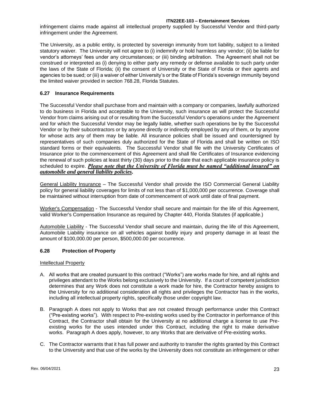infringement claims made against all intellectual property supplied by Successful Vendor and third-party infringement under the Agreement.

The University, as a public entity, is protected by sovereign immunity from tort liability, subject to a limited statutory waiver. The University will not agree to (i) indemnify or hold harmless any vendor; (ii) be liable for vendor's attorneys' fees under any circumstances; or (iii) binding arbitration. The Agreement shall not be construed or interpreted as (i) denying to either party any remedy or defense available to such party under the laws of the State of Florida; (ii) the consent of University or the State of Florida or their agents and agencies to be sued; or (iii) a waiver of either University's or the State of Florida's sovereign immunity beyond the limited waiver provided in section 768.28, Florida Statutes.

# <span id="page-22-0"></span>**6.27 Insurance Requirements**

The Successful Vendor shall purchase from and maintain with a company or companies, lawfully authorized to do business in Florida and acceptable to the University, such insurance as will protect the Successful Vendor from claims arising out of or resulting from the Successful Vendor's operations under the Agreement and for which the Successful Vendor may be legally liable, whether such operations be by the Successful Vendor or by their subcontractors or by anyone directly or indirectly employed by any of them, or by anyone for whose acts any of them may be liable. All insurance policies shall be issued and countersigned by representatives of such companies duly authorized for the State of Florida and shall be written on ISO standard forms or their equivalents. The Successful Vendor shall file with the University Certificates of Insurance prior to the commencement of this Agreement and shall file Certificates of Insurance evidencing the renewal of such policies at least thirty (30) days prior to the date that each applicable insurance policy is scheduled to expire. *Please note that the University of Florida must be named "additional insured" on automobile and general liability policies.*

General Liability Insurance – The Successful Vendor shall provide the ISO Commercial General Liability policy for general liability coverages for limits of not less than of \$1,000,000 per occurrence. Coverage shall be maintained without interruption from date of commencement of work until date of final payment.

Worker's Compensation - The Successful Vendor shall secure and maintain for the life of this Agreement, valid Worker's Compensation Insurance as required by Chapter 440, Florida Statutes (if applicable.)

Automobile Liability - The Successful Vendor shall secure and maintain, during the life of this Agreement, Automobile Liability insurance on all vehicles against bodily injury and property damage in at least the amount of \$100,000.00 per person, \$500,000.00 per occurrence.

# <span id="page-22-1"></span>**6.28 Protection of Property**

# Intellectual Property

- A. All works that are created pursuant to this contract ("Works") are works made for hire, and all rights and privileges attendant to the Works belong exclusively to the University. If a court of competent jurisdiction determines that any Work does not constitute a work made for hire, the Contractor hereby assigns to the University for no additional consideration all rights and privileges the Contractor has in the works, including all intellectual property rights, specifically those under copyright law.
- B. Paragraph A does not apply to Works that are not created through performance under this Contract ("Pre-existing works"). With respect to Pre-existing works used by the Contractor in performance of this Contract, the Contractor shall obtain for the University at no additional charge a license to use Preexisting works for the uses intended under this Contract, including the right to make derivative works. Paragraph A does apply, however, to any Works that are derivative of Pre-existing works.
- C. The Contractor warrants that it has full power and authority to transfer the rights granted by this Contract to the University and that use of the works by the University does not constitute an infringement or other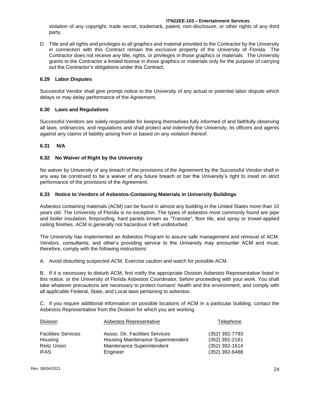violation of any copyright, trade secret, trademark, patent, non-disclosure, or other rights of any third party.

D. Title and all rights and privileges to all graphics and material provided to the Contractor by the University in connection with this Contract remain the exclusive property of the University of Florida. The Contractor does not receive any title, rights, or privileges in those graphics or materials. The University grants to the Contractor a limited license in those graphics or materials only for the purpose of carrying out the Contractor's obligations under this Contract.

## <span id="page-23-0"></span>**6.29 Labor Disputes**

Successful Vendor shall give prompt notice to the University of any actual or potential labor dispute which delays or may delay performance of the Agreement.

#### <span id="page-23-1"></span>**6.30 Laws and Regulations**

Successful Vendors are solely responsible for keeping themselves fully informed of and faithfully observing all laws, ordinances, and regulations and shall protect and indemnify the University, its officers and agents against any claims of liability arising from or based on any violation thereof.

#### <span id="page-23-2"></span>**6.31 N/A**

#### <span id="page-23-3"></span>**6.32 No Waiver of Right by the University**

No waiver by University of any breach of the provisions of the Agreement by the Successful Vendor shall in any way be construed to be a waiver of any future breach or bar the University's right to insist on strict performance of the provisions of the Agreement.

#### <span id="page-23-4"></span>**6.33 Notice to Vendors of Asbestos-Containing Materials in University Buildings**

Asbestos containing materials (ACM) can be found in almost any building in the United States more than 10 years old. The University of Florida is no exception. The types of asbestos most commonly found are pipe and boiler insulation, fireproofing, hard panels known as "Transite", floor tile, and spray or trowel-applied ceiling finishes. ACM is generally not hazardous if left undisturbed.

The University has implemented an Asbestos Program to assure safe management and removal of ACM. Vendors, consultants, and other's providing service to the University may encounter ACM and must, therefore, comply with the following instructions:

A. Avoid disturbing suspected ACM. Exercise caution and watch for possible ACM.

B. If it is necessary to disturb ACM, first notify the appropriate Division Asbestos Representative listed in this notice, or the University of Florida Asbestos Coordinator, before proceeding with your work. You shall take whatever precautions are necessary to protect humans' health and the environment, and comply with all applicable Federal, State, and Local laws pertaining to asbestos.

C. If you require additional information on possible locations of ACM in a particular building, contact the Asbestos Representative from the Division for which you are working.

| <b>Division</b>            | <b>Asbestos Representative</b>     | Telephone        |
|----------------------------|------------------------------------|------------------|
| <b>Facilities Services</b> | Assoc. Dir. Facilities Services    | (352) 392-7793   |
| Housing                    | Housing Maintenance Superintendent | $(352)$ 392-2161 |
| <b>Reitz Union</b>         | Maintenance Superintendent         | (352) 392-1614   |
| <b>IFAS</b>                | Engineer                           | $(352)$ 392-6488 |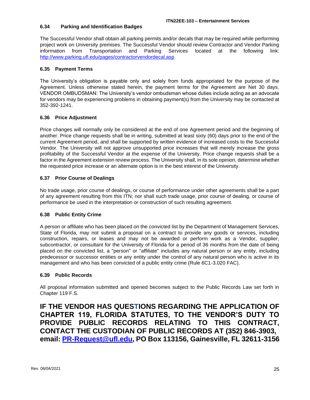# <span id="page-24-0"></span>**6.34 Parking and Identification Badges**

The Successful Vendor shall obtain all parking permits and/or decals that may be required while performing project work on University premises. The Successful Vendor should review Contractor and Vendor Parking information from Transportation and Parking Services located at the following link: <http://www.parking.ufl.edu/pages/contractorvendordecal.asp>

#### <span id="page-24-1"></span>**6.35 Payment Terms**

The University's obligation is payable only and solely from funds appropriated for the purpose of the Agreement. Unless otherwise stated herein, the payment terms for the Agreement are Net 30 days. VENDOR OMBUDSMAN: The University's vendor ombudsman whose duties include acting as an advocate for vendors may be experiencing problems in obtaining payment(s) from the University may be contacted at 352-392-1241.

#### <span id="page-24-2"></span>**6.36 Price Adjustment**

Price changes will normally only be considered at the end of one Agreement period and the beginning of another. Price change requests shall be in writing, submitted at least sixty (60) days prior to the end of the current Agreement period, and shall be supported by written evidence of increased costs to the Successful Vendor. The University will not approve unsupported price increases that will merely increase the gross profitability of the Successful Vendor at the expense of the University. Price change requests shall be a factor in the Agreement extension review process. The University shall, in its sole opinion, determine whether the requested price increase or an alternate option is in the best interest of the University.

# <span id="page-24-3"></span>**6.37 Prior Course of Dealings**

No trade usage, prior course of dealings, or course of performance under other agreements shall be a part of any agreement resulting from this ITN; nor shall such trade usage, prior course of dealing, or course of performance be used in the interpretation or construction of such resulting agreement.

# <span id="page-24-4"></span>**6.38 Public Entity Crime**

A person or affiliate who has been placed on the convicted list by the Department of Management Services, State of Florida, may not submit a proposal on a contract to provide any goods or services, including construction, repairs, or leases and may not be awarded or perform work as a Vendor, supplier, subcontractor, or consultant for the University of Florida for a period of 36 months from the date of being placed on the convicted list, a "person" or "affiliate" includes any natural person or any entity, including predecessor or successor entities or any entity under the control of any natural person who is active in its management and who has been convicted of a public entity crime (Rule 6C1-3.020 FAC).

#### <span id="page-24-5"></span>**6.39 Public Records**

All proposal information submitted and opened becomes subject to the Public Records Law set forth in Chapter 119 F.S.

**IF THE VENDOR HAS QUESTIONS REGARDING THE APPLICATION OF CHAPTER 119, FLORIDA STATUTES, TO THE VENDOR'S DUTY TO PROVIDE PUBLIC RECORDS RELATING TO THIS CONTRACT, CONTACT THE CUSTODIAN OF PUBLIC RECORDS AT (352) 846-3903, email: [PR-Request@ufl.edu,](mailto:PR-Request@ufl.edu) PO Box 113156, Gainesville, FL 32611-3156**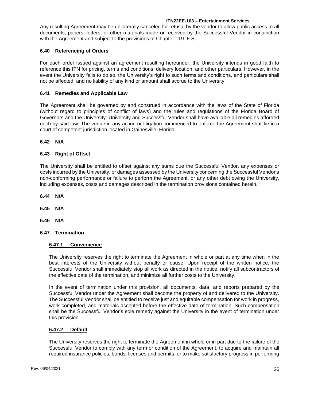Any resulting Agreement may be unilaterally canceled for refusal by the vendor to allow public access to all documents, papers, letters, or other materials made or received by the Successful Vendor in conjunction with the Agreement and subject to the provisions of Chapter 119. F.S.

## <span id="page-25-0"></span>**6.40 Referencing of Orders**

For each order issued against an agreement resulting hereunder, the University intends in good faith to reference this ITN for pricing, terms and conditions, delivery location, and other particulars. However, in the event the University fails to do so, the University's right to such terms and conditions, and particulars shall not be affected, and no liability of any kind or amount shall accrue to the University.

## <span id="page-25-1"></span>**6.41 Remedies and Applicable Law**

The Agreement shall be governed by and construed in accordance with the laws of the State of Florida (without regard to principles of conflict of laws) and the rules and regulations of the Florida Board of Governors and the University. University and Successful Vendor shall have available all remedies afforded each by said law. The venue in any action or litigation commenced to enforce the Agreement shall lie in a court of competent jurisdiction located in Gainesville, Florida.

#### <span id="page-25-2"></span>**6.42 N/A**

# <span id="page-25-3"></span>**6.43 Right of Offset**

The University shall be entitled to offset against any sums due the Successful Vendor, any expenses or costs incurred by the University, or damages assessed by the University concerning the Successful Vendor's non-conforming performance or failure to perform the Agreement, or any other debt owing the University, including expenses, costs and damages described in the termination provisions contained herein.

<span id="page-25-4"></span>**6.44 N/A**

<span id="page-25-5"></span>**6.45 N/A**

<span id="page-25-6"></span>**6.46 N/A**

#### <span id="page-25-8"></span><span id="page-25-7"></span>**6.47 Termination**

# **6.47.1 Convenience**

The University reserves the right to terminate the Agreement in whole or part at any time when in the best interests of the University without penalty or cause. Upon receipt of the written notice, the Successful Vendor shall immediately stop all work as directed in the notice, notify all subcontractors of the effective date of the termination, and minimize all further costs to the University.

In the event of termination under this provision, all documents, data, and reports prepared by the Successful Vendor under the Agreement shall become the property of and delivered to the University. The Successful Vendor shall be entitled to receive just and equitable compensation for work in progress, work completed, and materials accepted before the effective date of termination. Such compensation shall be the Successful Vendor's sole remedy against the University in the event of termination under this provision.

#### <span id="page-25-9"></span>**6.47.2 Default**

The University reserves the right to terminate the Agreement in whole or in part due to the failure of the Successful Vendor to comply with any term or condition of the Agreement, to acquire and maintain all required insurance policies, bonds, licenses and permits, or to make satisfactory progress in performing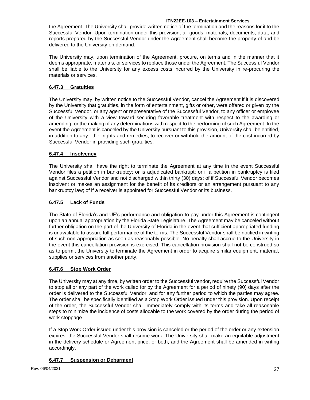the Agreement. The University shall provide written notice of the termination and the reasons for it to the Successful Vendor. Upon termination under this provision, all goods, materials, documents, data, and reports prepared by the Successful Vendor under the Agreement shall become the property of and be delivered to the University on demand.

The University may, upon termination of the Agreement, procure, on terms and in the manner that it deems appropriate, materials, or services to replace those under the Agreement. The Successful Vendor shall be liable to the University for any excess costs incurred by the University in re-procuring the materials or services.

# <span id="page-26-0"></span>**6.47.3 Gratuities**

The University may, by written notice to the Successful Vendor, cancel the Agreement if it is discovered by the University that gratuities, in the form of entertainment, gifts or other, were offered or given by the Successful Vendor, or any agent or representative of the Successful Vendor, to any officer or employee of the University with a view toward securing favorable treatment with respect to the awarding or amending, or the making of any determinations with respect to the performing of such Agreement. In the event the Agreement is canceled by the University pursuant to this provision, University shall be entitled, in addition to any other rights and remedies, to recover or withhold the amount of the cost incurred by Successful Vendor in providing such gratuities.

# <span id="page-26-1"></span>**6.47.4 Insolvency**

The University shall have the right to terminate the Agreement at any time in the event Successful Vendor files a petition in bankruptcy; or is adjudicated bankrupt; or if a petition in bankruptcy is filed against Successful Vendor and not discharged within thirty (30) days; of if Successful Vendor becomes insolvent or makes an assignment for the benefit of its creditors or an arrangement pursuant to any bankruptcy law; of if a receiver is appointed for Successful Vendor or its business.

# <span id="page-26-2"></span>**6.47.5 Lack of Funds**

The State of Florida's and UF's performance and obligation to pay under this Agreement is contingent upon an annual appropriation by the Florida State Legislature. The Agreement may be canceled without further obligation on the part of the University of Florida in the event that sufficient appropriated funding is unavailable to assure full performance of the terms. The Successful Vendor shall be notified in writing of such non-appropriation as soon as reasonably possible. No penalty shall accrue to the University in the event this cancellation provision is exercised. This cancellation provision shall not be construed so as to permit the University to terminate the Agreement in order to acquire similar equipment, material, supplies or services from another party.

# <span id="page-26-3"></span>**6.47.6 Stop Work Order**

The University may at any time, by written order to the Successful vendor, require the Successful Vendor to stop all or any part of the work called for by the Agreement for a period of ninety (90) days after the order is delivered to the Successful Vendor, and for any further period to which the parties may agree. The order shall be specifically identified as a Stop Work Order issued under this provision. Upon receipt of the order, the Successful Vendor shall immediately comply with its terms and take all reasonable steps to minimize the incidence of costs allocable to the work covered by the order during the period of work stoppage.

If a Stop Work Order issued under this provision is canceled or the period of the order or any extension expires, the Successful Vendor shall resume work. The University shall make an equitable adjustment in the delivery schedule or Agreement price, or both, and the Agreement shall be amended in writing accordingly.

# <span id="page-26-4"></span>**6.47.7 Suspension or Debarment**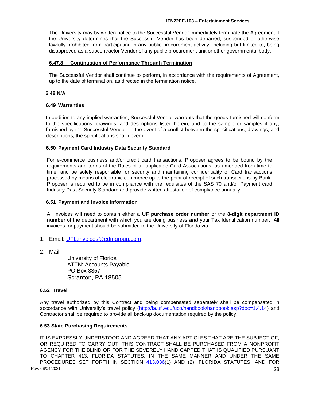The University may by written notice to the Successful Vendor immediately terminate the Agreement if the University determines that the Successful Vendor has been debarred, suspended or otherwise lawfully prohibited from participating in any public procurement activity, including but limited to, being disapproved as a subcontractor Vendor of any public procurement unit or other governmental body.

#### <span id="page-27-0"></span>**6.47.8 Continuation of Performance Through Termination**

The Successful Vendor shall continue to perform, in accordance with the requirements of Agreement, up to the date of termination, as directed in the termination notice.

#### <span id="page-27-1"></span> **6.48 N/A**

#### <span id="page-27-2"></span>**6.49 Warranties**

In addition to any implied warranties, Successful Vendor warrants that the goods furnished will conform to the specifications, drawings, and descriptions listed herein, and to the sample or samples if any, furnished by the Successful Vendor. In the event of a conflict between the specifications, drawings, and descriptions, the specifications shall govern.

#### <span id="page-27-3"></span>**6.50 Payment Card Industry Data Security Standard**

For e-commerce business and/or credit card transactions, Proposer agrees to be bound by the requirements and terms of the Rules of all applicable Card Associations, as amended from time to time, and be solely responsible for security and maintaining confidentiality of Card transactions processed by means of electronic commerce up to the point of receipt of such transactions by Bank. Proposer is required to be in compliance with the requisites of the SAS 70 and/or Payment card Industry Data Security Standard and provide written attestation of compliance annually.

#### <span id="page-27-4"></span>**6.51 Payment and Invoice Information**

All invoices will need to contain either a **UF purchase order number** or the **8-digit department ID number** of the department with which you are doing business *and* your Tax Identification number. All invoices for payment should be submitted to the University of Florida via:

- 1. Email: [UFL.invoices@edmgroup.com.](mailto:UFL.invoices@edmgroup.com)
- 2. Mail:

University of Florida ATTN: Accounts Payable PO Box 3357 Scranton, PA 18505

#### <span id="page-27-5"></span>**6.52 Travel**

Any travel authorized by this Contract and being compensated separately shall be compensated in accordance with University's travel policy [\(http://fa.ufl.edu/uco/handbook/handbook.asp?doc=1.4.14\)](http://fa.ufl.edu/uco/handbook/handbook.asp?doc=1.4.14) and Contractor shall be required to provide all back-up documentation required by the policy.

#### <span id="page-27-6"></span>**6.53 State Purchasing Requirements**

Rev. 06/04/2021 28 **Decision 28 Provide** 28 **Decision 28 Provide** 28 **Provide** 28 **Provide** 28 **Provide** 28 **Provide** 28 IT IS EXPRESSLY UNDERSTOOD AND AGREED THAT ANY ARTICLES THAT ARE THE SUBJECT OF, OR REQUIRED TO CARRY OUT, THIS CONTRACT SHALL BE PURCHASED FROM A NONPROFIT AGENCY FOR THE BLIND OR FOR THE SEVERELY HANDICAPPED THAT IS QUALIFIED PURSUANT TO CHAPTER 413, FLORIDA STATUTES, IN THE SAME MANNER AND UNDER THE SAME PROCEDURES SET FORTH IN SECTION [413.036\(](http://www.leg.state.fl.us/STATUTES/index.cfm?App_mode=Display_Statute&Search_String=&URL=Ch0413/Sec036.HTM)1) AND (2), FLORIDA STATUTES; AND FOR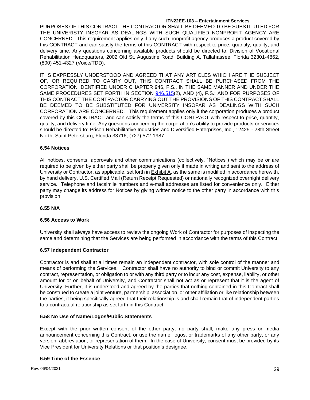PURPOSES OF THIS CONTRACT THE CONTRACTOR SHALL BE DEEMED TO BE SUBSTITUTED FOR THE UNIVERISTY INSOFAR AS DEALINGS WITH SUCH QUALIFIED NONPROFIT AGENCY ARE CONCERNED. This requirement applies only if any such nonprofit agency produces a product covered by this CONTRACT and can satisfy the terms of this CONTRACT with respect to price, quantity, quality, and delivery time. Any questions concerning available products should be directed to: Division of Vocational Rehabilitation Headquarters, 2002 Old St. Augustine Road, Building A, Tallahassee, Florida 32301-4862, (800) 451-4327 (Voice/TDD).

IT IS EXPRESSLY UNDERSTOOD AND AGREED THAT ANY ARTICLES WHICH ARE THE SUBJECT OF, OR REQUIRED TO CARRY OUT, THIS CONTRACT SHALL BE PURCHASED FROM THE CORPORATION IDENTIFIED UNDER CHAPTER 946, F.S., IN THE SAME MANNER AND UNDER THE SAME PROCEDURES SET FORTH IN SECTION [946.515\(](http://www.leg.state.fl.us/STATUTES/index.cfm?App_mode=Display_Statute&Search_String=&URL=Ch0946/Sec515.HTM)2), AND (4), F.S.; AND FOR PURPOSES OF THIS CONTRACT THE CONTRACTOR CARRYING OUT THE PROVISIONS OF THIS CONTRACT SHALL BE DEEMED TO BE SUBSTITUTED FOR UNIVERSITY INSOFAR AS DEALINGS WITH SUCH CORPORATION ARE CONCERNED. This requirement applies only if the corporation produces a product covered by this CONTRACT and can satisfy the terms of this CONTRACT with respect to price, quantity, quality, and delivery time. Any questions concerning the corporation's ability to provide products or services should be directed to: Prison Rehabilitative Industries and Diversified Enterprises, Inc., 12425 - 28th Street North, Saint Petersburg, Florida 33716, (727) 572-1987.

#### <span id="page-28-0"></span>**6.54 Notices**

All notices, consents, approvals and other communications (collectively, "Notices") which may be or are required to be given by either party shall be properly given only if made in writing and sent to the address of University or Contractor, as applicable, set forth in **Exhibit A**, as the same is modified in accordance herewith, by hand delivery, U.S. Certified Mail (Return Receipt Requested) or nationally recognized overnight delivery service. Telephone and facsimile numbers and e-mail addresses are listed for convenience only. Either party may change its address for Notices by giving written notice to the other party in accordance with this provision.

#### **6.55 N/A**

#### <span id="page-28-1"></span>**6.56 Access to Work**

University shall always have access to review the ongoing Work of Contractor for purposes of inspecting the same and determining that the Services are being performed in accordance with the terms of this Contract.

#### <span id="page-28-2"></span>**6.57 Independent Contractor**

Contractor is and shall at all times remain an independent contractor, with sole control of the manner and means of performing the Services. Contractor shall have no authority to bind or commit University to any contract, representation, or obligation to or with any third party or to incur any cost, expense, liability, or other amount for or on behalf of University, and Contractor shall not act as or represent that it is the agent of University. Further, it is understood and agreed by the parties that nothing contained in this Contract shall be construed to create a joint venture, partnership, association, or other affiliation or like relationship between the parties, it being specifically agreed that their relationship is and shall remain that of independent parties to a contractual relationship as set forth in this Contract.

#### <span id="page-28-3"></span>**6.58 No Use of Name/Logos/Public Statements**

Except with the prior written consent of the other party, no party shall, make any press or media announcement concerning this Contract, or use the name, logos, or trademarks of any other party, or any version, abbreviation, or representation of them. In the case of University, consent must be provided by its Vice President for University Relations or that position's designee.

#### <span id="page-28-4"></span>**6.59 Time of the Essence**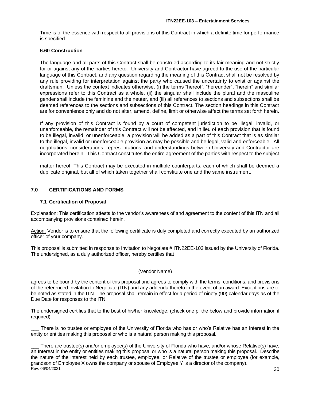Time is of the essence with respect to all provisions of this Contract in which a definite time for performance is specified.

#### <span id="page-29-0"></span>**6.60 Construction**

The language and all parts of this Contract shall be construed according to its fair meaning and not strictly for or against any of the parties hereto. University and Contractor have agreed to the use of the particular language of this Contract, and any question regarding the meaning of this Contract shall not be resolved by any rule providing for interpretation against the party who caused the uncertainty to exist or against the draftsman. Unless the context indicates otherwise, (i) the terms "hereof", "hereunder", "herein" and similar expressions refer to this Contract as a whole, (ii) the singular shall include the plural and the masculine gender shall include the feminine and the neuter, and (iii) all references to sections and subsections shall be deemed references to the sections and subsections of this Contract. The section headings in this Contract are for convenience only and do not alter, amend, define, limit or otherwise affect the terms set forth herein.

If any provision of this Contract is found by a court of competent jurisdiction to be illegal, invalid, or unenforceable, the remainder of this Contract will not be affected, and in lieu of each provision that is found to be illegal, invalid, or unenforceable, a provision will be added as a part of this Contract that is as similar to the illegal, invalid or unenforceable provision as may be possible and be legal, valid and enforceable. All negotiations, considerations, representations, and understandings between University and Contractor are incorporated herein. This Contract constitutes the entire agreement of the parties with respect to the subject

matter hereof. This Contract may be executed in multiple counterparts, each of which shall be deemed a duplicate original, but all of which taken together shall constitute one and the same instrument.

# <span id="page-29-1"></span>**7.0 CERTIFICATIONS AND FORMS**

# <span id="page-29-2"></span>**7.1 Certification of Proposal**

Explanation: This certification attests to the vendor's awareness of and agreement to the content of this ITN and all accompanying provisions contained herein.

Action: Vendor is to ensure that the following certificate is duly completed and correctly executed by an authorized officer of your company.

This proposal is submitted in response to Invitation to Negotiate # ITN22EE-103 issued by the University of Florida. The undersigned, as a duly authorized officer, hereby certifies that

> \_\_\_\_\_\_\_\_\_\_\_\_\_\_\_\_\_\_\_\_\_\_\_\_\_\_\_\_\_\_\_\_\_\_\_\_\_ (Vendor Name)

agrees to be bound by the content of this proposal and agrees to comply with the terms, conditions, and provisions of the referenced Invitation to Negotiate (ITN) and any addenda thereto in the event of an award. Exceptions are to be noted as stated in the ITN. The proposal shall remain in effect for a period of ninety (90) calendar days as of the Due Date for responses to the ITN.

The undersigned certifies that to the best of his/her knowledge: (check one pf the below and provide information if required)

There is no trustee or employee of the University of Florida who has or who's Relative has an Interest in the entity or entities making this proposal or who is a natural person making this proposal.

 $\,$  Rev. 06/04/2021  $\,$  30 There are trustee(s) and/or employee(s) of the University of Florida who have, and/or whose Relative(s) have, an Interest in the entity or entities making this proposal or who is a natural person making this proposal. Describe the nature of the interest held by each trustee, employee, or Relative of the trustee or employee (for example, grandson of Employee X owns the company or spouse of Employee Y is a director of the company).